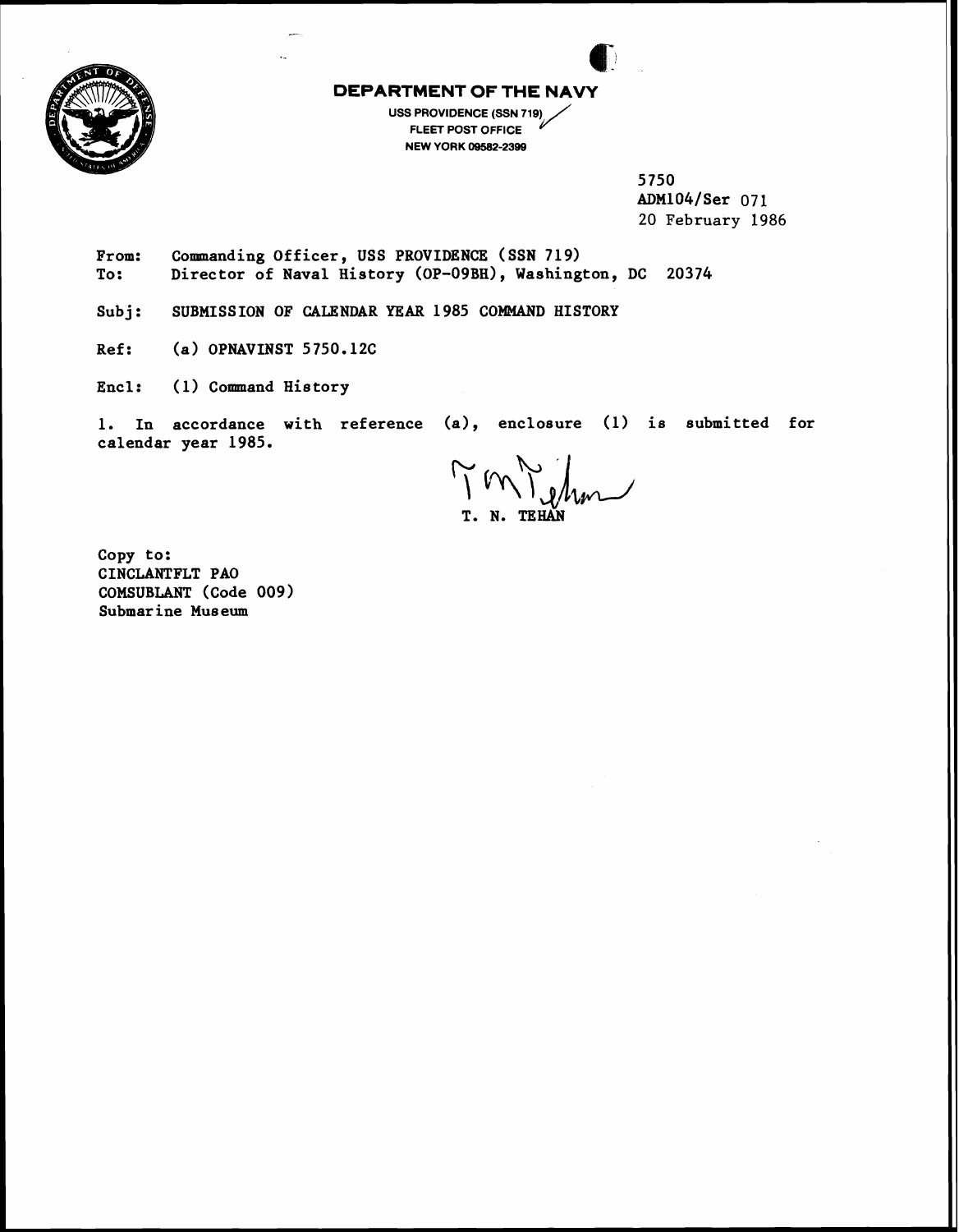

**DEPARTMENT OF THE NAVY**<br>
USS PROVIDENCE (SSN 719) **USS PROVIDENCE (SSN 719) FLEET POST OFFICE NEW YORK 09502-2399** 

> **5750 ADM104lSer 071 20 February 1986**

From: Commanding Officer, USS PROVIDENCE (SSN 719)<br>To: Director of Naval History (OP-09BH), Washing Director of Naval History (OP-09BH), Washington, DC 20374

Subj: SUBMISS ION OF CALENDAR YEAR 1985 COMMAND HISTORY

**Ref: (a) OPNAVINST 5750.12C** 

**Encl: (1) Command History** 

**1. In accordance with reference (a), enclosure (1) is submitted for calendar year 1985.** 

 $\sqrt{m_{\text{e}}/m_{\text{e}}}$ **T. N. TEHAN** 

**Copy to: CINCLANTFLT PA0 COMSUBLANT (code 009) Submarine Museum**